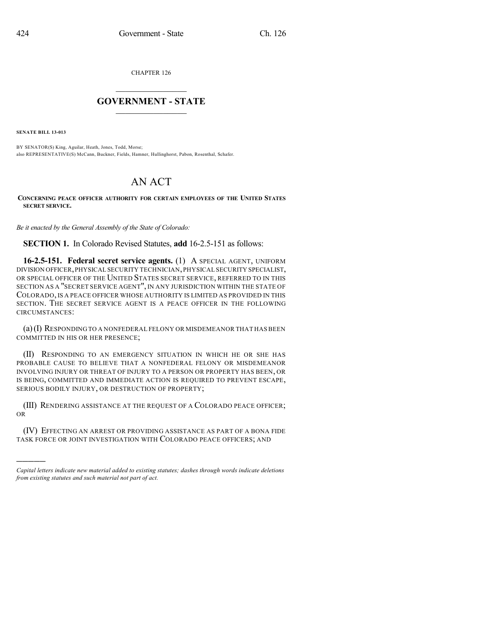CHAPTER 126

## $\mathcal{L}_\text{max}$  . The set of the set of the set of the set of the set of the set of the set of the set of the set of the set of the set of the set of the set of the set of the set of the set of the set of the set of the set **GOVERNMENT - STATE**  $\_$   $\_$

**SENATE BILL 13-013**

)))))

BY SENATOR(S) King, Aguilar, Heath, Jones, Todd, Morse; also REPRESENTATIVE(S) McCann, Buckner, Fields, Hamner, Hullinghorst, Pabon, Rosenthal, Schafer.

## AN ACT

## **CONCERNING PEACE OFFICER AUTHORITY FOR CERTAIN EMPLOYEES OF THE UNITED STATES SECRET SERVICE.**

*Be it enacted by the General Assembly of the State of Colorado:*

**SECTION 1.** In Colorado Revised Statutes, **add** 16-2.5-151 as follows:

**16-2.5-151. Federal secret service agents.** (1) A SPECIAL AGENT, UNIFORM DIVISION OFFICER,PHYSICAL SECURITY TECHNICIAN,PHYSICAL SECURITY SPECIALIST, OR SPECIAL OFFICER OF THE UNITED STATES SECRET SERVICE, REFERRED TO IN THIS SECTION AS A "SECRET SERVICE AGENT", IN ANY JURISDICTION WITHIN THE STATE OF COLORADO, IS A PEACE OFFICER WHOSE AUTHORITY IS LIMITED AS PROVIDED IN THIS SECTION. THE SECRET SERVICE AGENT IS A PEACE OFFICER IN THE FOLLOWING CIRCUMSTANCES:

(a)(I) RESPONDING TO A NONFEDERAL FELONY OR MISDEMEANOR THAT HAS BEEN COMMITTED IN HIS OR HER PRESENCE;

(II) RESPONDING TO AN EMERGENCY SITUATION IN WHICH HE OR SHE HAS PROBABLE CAUSE TO BELIEVE THAT A NONFEDERAL FELONY OR MISDEMEANOR INVOLVING INJURY OR THREAT OF INJURY TO A PERSON OR PROPERTY HAS BEEN, OR IS BEING, COMMITTED AND IMMEDIATE ACTION IS REQUIRED TO PREVENT ESCAPE, SERIOUS BODILY INJURY, OR DESTRUCTION OF PROPERTY;

(III) RENDERING ASSISTANCE AT THE REQUEST OF A COLORADO PEACE OFFICER; OR

(IV) EFFECTING AN ARREST OR PROVIDING ASSISTANCE AS PART OF A BONA FIDE TASK FORCE OR JOINT INVESTIGATION WITH COLORADO PEACE OFFICERS; AND

*Capital letters indicate new material added to existing statutes; dashes through words indicate deletions from existing statutes and such material not part of act.*